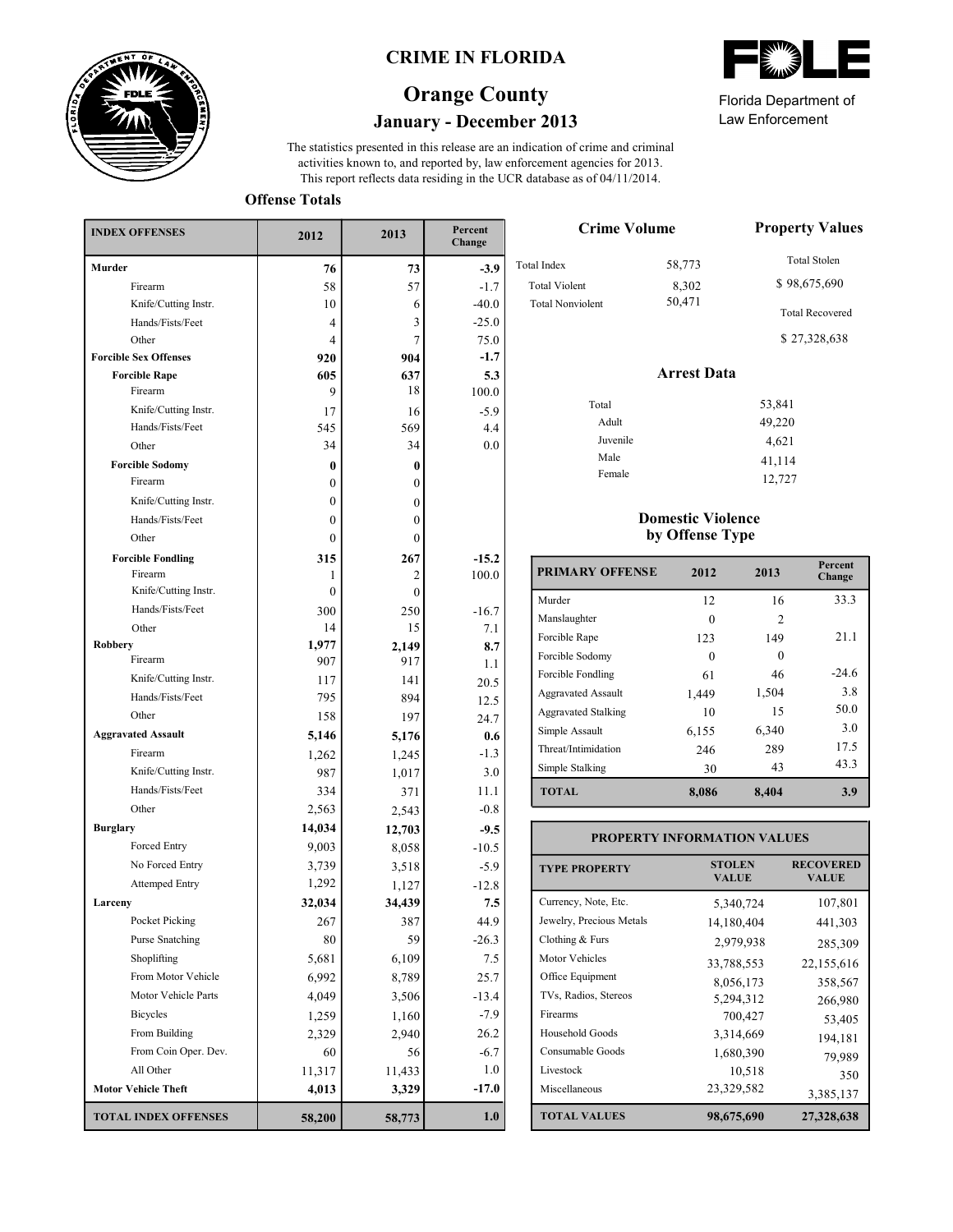

## **CRIME IN FLORIDA**

# **January - December 2013 Orange County**

This report reflects data residing in the UCR database as of 04/11/2014. activities known to, and reported by, law enforcement agencies for 2013. The statistics presented in this release are an indication of crime and criminal

**Offense Totals**

| <b>INDEX OFFENSES</b>        | 2012         | 2013         | Percent<br>Change |
|------------------------------|--------------|--------------|-------------------|
| <b>Murder</b>                | 76           | 73           | $-3.9$            |
| Firearm                      | 58           | 57           | $-1.7$            |
| Knife/Cutting Instr.         | 10           | 6            | $-40.0$           |
| Hands/Fists/Feet             | 4            | 3            | $-25.0$           |
| Other                        | 4            | 7            | 75.0              |
| <b>Forcible Sex Offenses</b> | 920          | 904          | $-1.7$            |
| <b>Forcible Rape</b>         | 605          | 637          | 5.3               |
| Firearm                      | 9            | 18           | 100.0             |
| Knife/Cutting Instr.         | 17           | 16           | $-5.9$            |
| Hands/Fists/Feet             | 545          | 569          | 4.4               |
| Other                        | 34           | 34           | 0.0               |
| <b>Forcible Sodomy</b>       | 0            | $\bf{0}$     |                   |
| Firearm                      | 0            | $\mathbf{0}$ |                   |
| Knife/Cutting Instr.         | 0            | $\mathbf{0}$ |                   |
| Hands/Fists/Feet             | 0            | $\theta$     |                   |
| Other                        | $\mathbf{0}$ | $\theta$     |                   |
| <b>Forcible Fondling</b>     | 315          | 267          | $-15.2$           |
| Firearm                      | 1            | 2            | 100.0             |
| Knife/Cutting Instr.         | 0            | $\theta$     |                   |
| Hands/Fists/Feet             | 300          | 250          | $-16.7$           |
| Other                        | 14           | 15           | 7.1               |
| <b>Robbery</b>               | 1,977        | 2,149        | 8.7               |
| Firearm                      | 907          | 917          | 1.1               |
| Knife/Cutting Instr.         | 117          | 141          | 20.5              |
| Hands/Fists/Feet             | 795          | 894          | 12.5              |
| Other                        | 158          | 197          | 24.7              |
| <b>Aggravated Assault</b>    | 5,146        | 5,176        | 0.6               |
| Firearm                      | 1,262        | 1,245        | $-1.3$            |
| Knife/Cutting Instr.         | 987          | 1,017        | 3.0               |
| Hands/Fists/Feet             | 334          | 371          | 11.1              |
| Other                        | 2,563        | 2,543        | $-0.8$            |
| <b>Burglary</b>              | 14,034       | 12,703       | $-9.5$            |
| Forced Entry                 | 9,003        | 8,058        | $-10.5$           |
| No Forced Entry              | 3,739        | 3,518        | $-5.9$            |
| <b>Attemped Entry</b>        | 1,292        | 1,127        | $-12.8$           |
| Larceny                      | 32,034       | 34,439       | 7.5               |
| Pocket Picking               | 267          | 387          | 44.9              |
| <b>Purse Snatching</b>       | 80           | 59           | $-26.3$           |
| Shoplifting                  | 5,681        | 6,109        | 7.5               |
| From Motor Vehicle           | 6,992        | 8,789        | 25.7              |
| Motor Vehicle Parts          | 4,049        | 3,506        | $-13.4$           |
| <b>Bicycles</b>              | 1,259        | 1,160        | $-7.9$            |
| From Building                | 2,329        | 2,940        | 26.2              |
| From Coin Oper. Dev.         | 60           | 56           | $-6.7$            |
| All Other                    | 11,317       | 11,433       | 1.0               |
| <b>Motor Vehicle Theft</b>   | 4,013        | 3,329        | $-17.0$           |
| <b>TOTAL INDEX OFFENSES</b>  | 58,200       | 58,773       | 1.0               |

Law Enforcement Florida Department of

> 41,114 12,727

| <b>Crime Volume</b>     | <b>Property Values</b> |                                        |  |
|-------------------------|------------------------|----------------------------------------|--|
| Total Index             | 58,773                 | Total Stolen                           |  |
| <b>Total Violent</b>    | 8,302                  | \$98,675,690                           |  |
| <b>Total Nonviolent</b> | 50,471                 | <b>Total Recovered</b><br>\$27,328,638 |  |
|                         | <b>Arrest Data</b>     |                                        |  |
| Total                   |                        | 53,841                                 |  |
| Adult                   |                        | 49,220                                 |  |
| Juvenile                |                        | 4,621                                  |  |

#### **Domestic Violence by Offense Type**

Male Female

| <b>PRIMARY OFFENSE</b>     | 2012     | 2013           | Percent<br>Change |
|----------------------------|----------|----------------|-------------------|
| Murder                     | 12       | 16             | 33.3              |
| Manslaughter               |          | $\mathfrak{D}$ |                   |
| Forcible Rape              | 123      | 149            | 21.1              |
| Forcible Sodomy            | $\Omega$ | 0              |                   |
| Forcible Fondling          | 61       | 46             | $-24.6$           |
| <b>Aggravated Assault</b>  | 1,449    | 1,504          | 3.8               |
| <b>Aggravated Stalking</b> | 10       | 15             | 50.0              |
| Simple Assault             | 6,155    | 6,340          | 3.0               |
| Threat/Intimidation        | 246      | 289            | 17.5              |
| Simple Stalking            | 30       | 43             | 43.3              |
| <b>TOTAL</b>               | 8,086    | 8,404          | 3.9               |

| <b>PROPERTY INFORMATION VALUES</b> |                               |                                  |  |  |  |  |
|------------------------------------|-------------------------------|----------------------------------|--|--|--|--|
| <b>TYPE PROPERTY</b>               | <b>STOLEN</b><br><b>VALUE</b> | <b>RECOVERED</b><br><b>VALUE</b> |  |  |  |  |
| Currency, Note, Etc.               | 5,340,724                     | 107,801                          |  |  |  |  |
| Jewelry, Precious Metals           | 14,180,404                    | 441,303                          |  |  |  |  |
| Clothing $& Furs$                  | 2,979,938                     | 285,309                          |  |  |  |  |
| <b>Motor Vehicles</b>              | 33,788,553                    | 22,155,616                       |  |  |  |  |
| Office Equipment                   | 8,056,173                     | 358,567                          |  |  |  |  |
| TVs, Radios, Stereos               | 5,294,312                     | 266,980                          |  |  |  |  |
| Firearms                           | 700,427                       | 53,405                           |  |  |  |  |
| Household Goods                    | 3,314,669                     | 194,181                          |  |  |  |  |
| Consumable Goods                   | 1,680,390                     | 79,989                           |  |  |  |  |
| Livestock                          | 10,518                        | 350                              |  |  |  |  |
| Miscellaneous                      | 23,329,582                    | 3,385,137                        |  |  |  |  |
| <b>TOTAL VALUES</b>                | 98,675,690                    | 27,328,638                       |  |  |  |  |